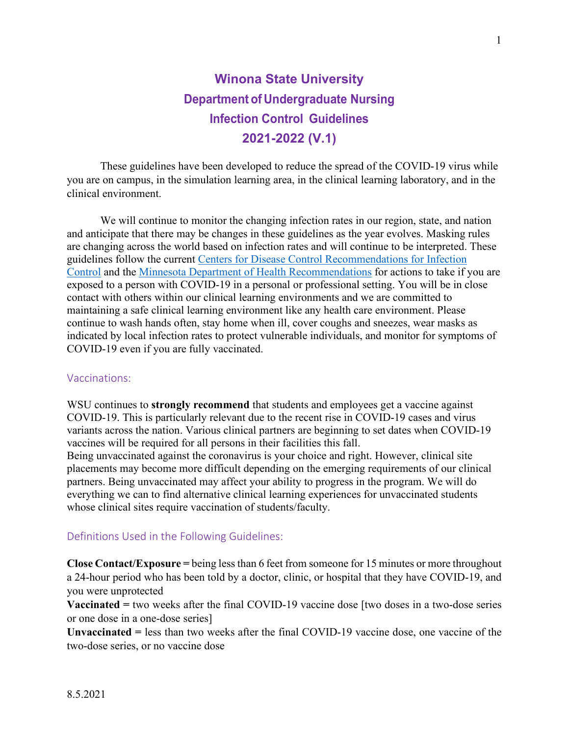# **Winona State University Department of Undergraduate Nursing Infection Control Guidelines 2021-2022 (V.1)**

These guidelines have been developed to reduce the spread of the COVID-19 virus while you are on campus, in the simulation learning area, in the clinical learning laboratory, and in the clinical environment.

We will continue to monitor the changing infection rates in our region, state, and nation and anticipate that there may be changes in these guidelines as the year evolves. Masking rules are changing across the world based on infection rates and will continue to be interpreted. These guidelines follow the current [Centers for Disease Control Recommendations for Infection](https://www.cdc.gov/coronavirus/2019-ncov/hcp/infection-control-recommendations.html)  [Control](https://www.cdc.gov/coronavirus/2019-ncov/hcp/infection-control-recommendations.html) and the [Minnesota Department of Health Recommendations](https://www.health.state.mn.us/diseases/coronavirus/hcp/infectioncontrol.html) for actions to take if you are exposed to a person with COVID-19 in a personal or professional setting. You will be in close contact with others within our clinical learning environments and we are committed to maintaining a safe clinical learning environment like any health care environment. Please continue to wash hands often, stay home when ill, cover coughs and sneezes, wear masks as indicated by local infection rates to protect vulnerable individuals, and monitor for symptoms of COVID-19 even if you are fully vaccinated.

#### Vaccinations:

WSU continues to **strongly recommend** that students and employees get a vaccine against COVID-19. This is particularly relevant due to the recent rise in COVID-19 cases and virus variants across the nation. Various clinical partners are beginning to set dates when COVID-19 vaccines will be required for all persons in their facilities this fall.

Being unvaccinated against the coronavirus is your choice and right. However, clinical site placements may become more difficult depending on the emerging requirements of our clinical partners. Being unvaccinated may affect your ability to progress in the program. We will do everything we can to find alternative clinical learning experiences for unvaccinated students whose clinical sites require vaccination of students/faculty.

#### Definitions Used in the Following Guidelines:

**Close Contact/Exposure =** being less than 6 feet from someone for 15 minutes or more throughout a 24-hour period who has been told by a doctor, clinic, or hospital that they have COVID-19, and you were unprotected

**Vaccinated =** two weeks after the final COVID-19 vaccine dose [two doses in a two-dose series or one dose in a one-dose series]

**Unvaccinated =** less than two weeks after the final COVID-19 vaccine dose, one vaccine of the two-dose series, or no vaccine dose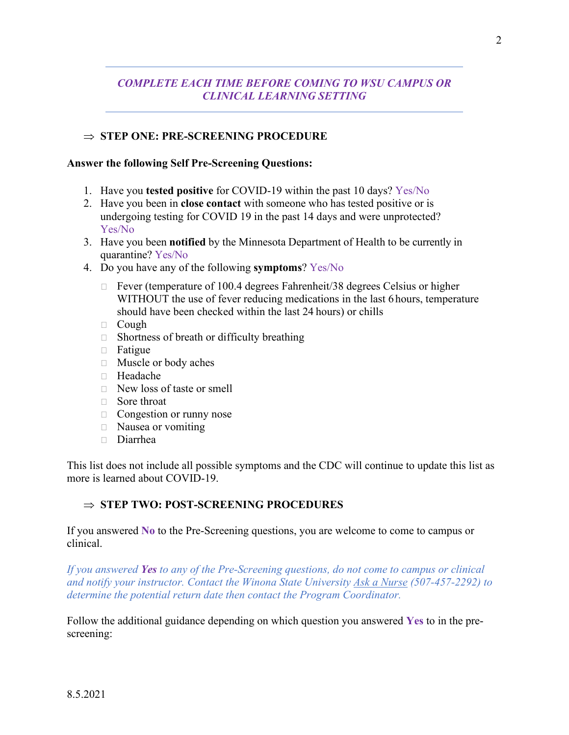# *COMPLETE EACH TIME BEFORE COMING TO WSU CAMPUS OR CLINICAL LEARNING SETTING*

### ⇒ **STEP ONE: PRE-SCREENING PROCEDURE**

#### **Answer the following Self Pre-Screening Questions:**

- 1. Have you **tested positive** for COVID-19 within the past 10 days? Yes/No
- 2. Have you been in **close contact** with someone who has tested positive or is undergoing testing for COVID 19 in the past 14 days and were unprotected? Yes/No
- 3. Have you been **notified** by the Minnesota Department of Health to be currently in quarantine? Yes/No
- 4. Do you have any of the following **symptoms**? Yes/No
	- $\Box$  Fever (temperature of 100.4 degrees Fahrenheit/38 degrees Celsius or higher WITHOUT the use of fever reducing medications in the last 6 hours, temperature should have been checked within the last 24 hours) or chills
	- Cough
	- $\Box$  Shortness of breath or difficulty breathing
	- Fatigue
	- Muscle or body aches
	- Headache
	- $\Box$  New loss of taste or smell
	- □ Sore throat
	- $\Box$  Congestion or runny nose
	- □ Nausea or vomiting
	- Diarrhea

This list does not include all possible symptoms and the CDC will continue to update this list as more is learned about COVID-19.

#### ⇒ **STEP TWO: POST-SCREENING PROCEDURES**

If you answered **No** to the Pre-Screening questions, you are welcome to come to campus or clinical.

*If you answered Yes to any of the Pre-Screening questions, do not come to campus or clinical and notify your instructor. Contact the Winona State University [Ask a Nurse](https://www.winona.edu/healthservices/askanurse.asp) (507-457-2292) to determine the potential return date then contact the Program Coordinator.* 

Follow the additional guidance depending on which question you answered **Yes** to in the prescreening: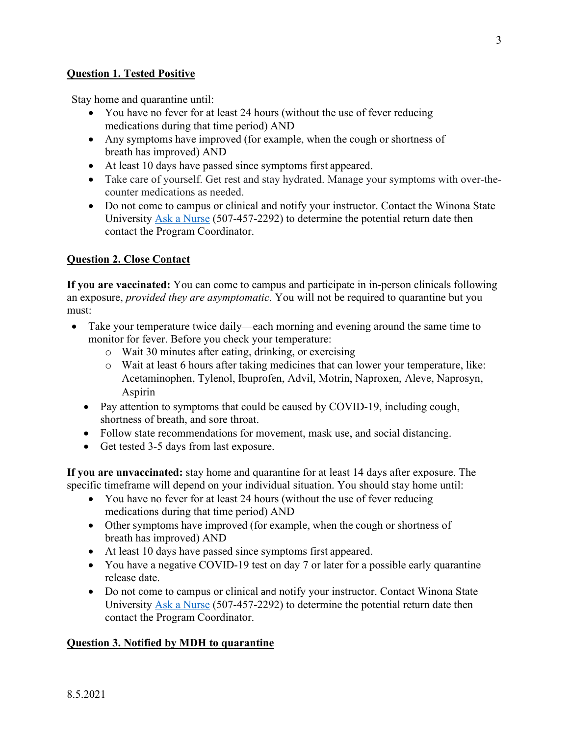## **Question 1. Tested Positive**

Stay home and quarantine until:

- You have no fever for at least 24 hours (without the use of fever reducing medications during that time period) AND
- Any symptoms have improved (for example, when the cough or shortness of breath has improved) AND
- At least 10 days have passed since symptoms first appeared.
- Take care of yourself. Get rest and stay hydrated. Manage your symptoms with over-thecounter medications as needed.
- Do not come to campus or clinical and notify your instructor. Contact the Winona State University [Ask a Nurse](https://www.winona.edu/healthservices/askanurse.asp) (507-457-2292) to determine the potential return date then contact the Program Coordinator.

#### **Question 2. Close Contact**

**If you are vaccinated:** You can come to campus and participate in in-person clinicals following an exposure, *provided they are asymptomatic*. You will not be required to quarantine but you must:

- Take your temperature twice daily—each morning and evening around the same time to monitor for fever. Before you check your temperature:
	- o Wait 30 minutes after eating, drinking, or exercising
	- o Wait at least 6 hours after taking medicines that can lower your temperature, like: Acetaminophen, Tylenol, Ibuprofen, Advil, Motrin, Naproxen, Aleve, Naprosyn, Aspirin
	- Pay attention to symptoms that could be caused by COVID-19, including cough, shortness of breath, and sore throat.
	- Follow state recommendations for movement, mask use, and social distancing.
	- Get tested 3-5 days from last exposure.

**If you are unvaccinated:** stay home and quarantine for at least 14 days after exposure. The specific timeframe will depend on your individual situation. You should stay home until:

- You have no fever for at least 24 hours (without the use of fever reducing medications during that time period) AND
- Other symptoms have improved (for example, when the cough or shortness of breath has improved) AND
- At least 10 days have passed since symptoms first appeared.
- You have a negative COVID-19 test on day 7 or later for a possible early quarantine release date.
- Do not come to campus or clinical and notify your instructor. Contact Winona State University [Ask a Nurse](https://www.winona.edu/healthservices/askanurse.asp) (507-457-2292) to determine the potential return date then contact the Program Coordinator.

#### **Question 3. Notified by MDH to quarantine**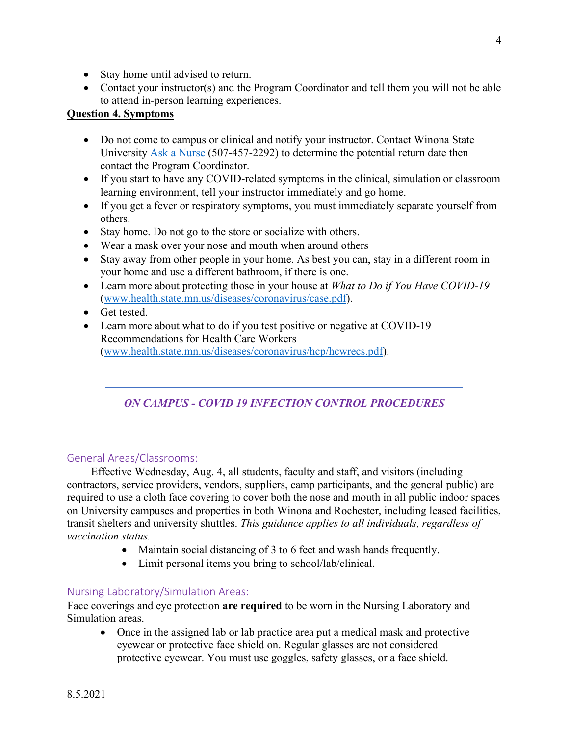- Stay home until advised to return.
- Contact your instructor(s) and the Program Coordinator and tell them you will not be able to attend in-person learning experiences.

## **Question 4. Symptoms**

- Do not come to campus or clinical and notify your instructor. Contact Winona State University [Ask a Nurse](https://www.winona.edu/healthservices/askanurse.asp) (507-457-2292) to determine the potential return date then contact the Program Coordinator.
- If you start to have any COVID-related symptoms in the clinical, simulation or classroom learning environment, tell your instructor immediately and go home.
- If you get a fever or respiratory symptoms, you must immediately separate yourself from others.
- Stay home. Do not go to the store or socialize with others.
- Wear a mask over your nose and mouth when around others
- Stay away from other people in your home. As best you can, stay in a different room in your home and use a different bathroom, if there is one.
- Learn more about protecting those in your house at *What to Do if You Have COVID-19* [\(www.health.state.mn.us/diseases/coronavirus/case.pdf\)](http://www.health.state.mn.us/diseases/coronavirus/case.pdf).
- Get tested.
- Learn more about what to do if you test positive or negative at COVID-19 Recommendations for Health Care Workers [\(www.health.state.mn.us/diseases/coronavirus/hcp/hcwrecs.pdf\)](http://www.health.state.mn.us/diseases/coronavirus/hcp/hcwrecs.pdf).

# *ON CAMPUS ‐ COVID 19 INFECTION CONTROL PROCEDURES*

#### General Areas/Classrooms:

Effective Wednesday, Aug. 4, all students, faculty and staff, and visitors (including contractors, service providers, vendors, suppliers, camp participants, and the general public) are required to use a cloth face covering to cover both the nose and mouth in all public indoor spaces on University campuses and properties in both Winona and Rochester, including leased facilities, transit shelters and university shuttles. *This guidance applies to all individuals, regardless of vaccination status.*

- Maintain social distancing of 3 to 6 feet and wash hands frequently.
- Limit personal items you bring to school/lab/clinical.

#### Nursing Laboratory/Simulation Areas:

Face coverings and eye protection **are required** to be worn in the Nursing Laboratory and Simulation areas.

• Once in the assigned lab or lab practice area put a medical mask and protective eyewear or protective face shield on. Regular glasses are not considered protective eyewear. You must use goggles, safety glasses, or a face shield.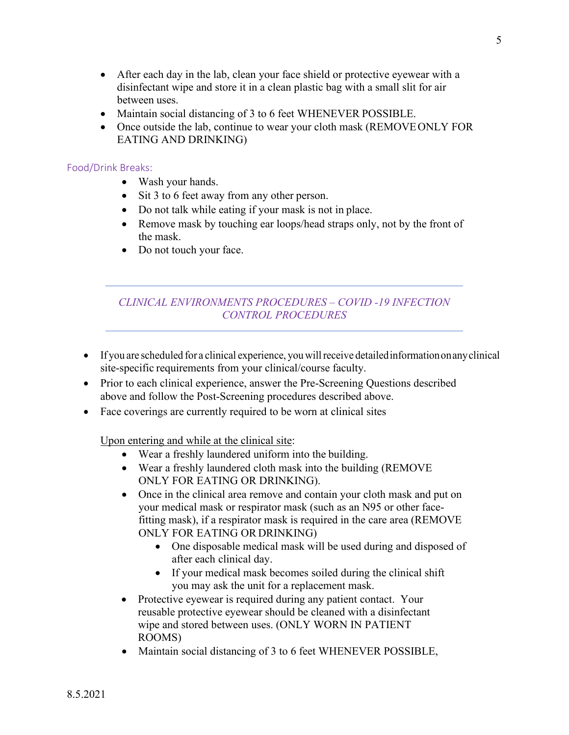- After each day in the lab, clean your face shield or protective eyewear with a disinfectant wipe and store it in a clean plastic bag with a small slit for air between uses.
- Maintain social distancing of 3 to 6 feet WHENEVER POSSIBLE.
- Once outside the lab, continue to wear your cloth mask (REMOVEONLY FOR EATING AND DRINKING)

#### Food/Drink Breaks:

- Wash your hands.
- Sit 3 to 6 feet away from any other person.
- Do not talk while eating if your mask is not in place.
- Remove mask by touching ear loops/head straps only, not by the front of the mask.
- Do not touch your face.

## *CLINICAL ENVIRONMENTS PROCEDURES – COVID -19 INFECTION CONTROL PROCEDURES*

- If you are scheduled for a clinical experience, you willreceive detailedinformationonanyclinical site-specific requirements from your clinical/course faculty.
- Prior to each clinical experience, answer the Pre-Screening Questions described above and follow the Post-Screening procedures described above.
- Face coverings are currently required to be worn at clinical sites

#### Upon entering and while at the clinical site:

- Wear a freshly laundered uniform into the building.
- Wear a freshly laundered cloth mask into the building (REMOVE ONLY FOR EATING OR DRINKING).
- Once in the clinical area remove and contain your cloth mask and put on your medical mask or respirator mask (such as an N95 or other facefitting mask), if a respirator mask is required in the care area (REMOVE ONLY FOR EATING OR DRINKING)
	- One disposable medical mask will be used during and disposed of after each clinical day.
	- If your medical mask becomes soiled during the clinical shift you may ask the unit for a replacement mask.
- Protective eyewear is required during any patient contact. Your reusable protective eyewear should be cleaned with a disinfectant wipe and stored between uses. (ONLY WORN IN PATIENT ROOMS)
- Maintain social distancing of 3 to 6 feet WHENEVER POSSIBLE,